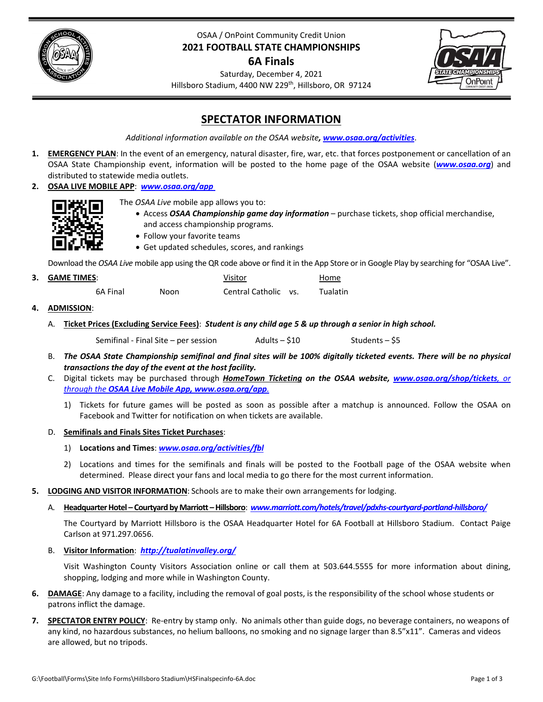

# OSAA / OnPoint Community Credit Union **2021 FOOTBALL STATE CHAMPIONSHIPS**

# **6A Finals**



Saturday, December 4, 2021 Hillsboro Stadium, 4400 NW 229<sup>th</sup>, Hillsboro, OR 97124

# **SPECTATOR INFORMATION**

*Additional information available on the OSAA website, [www.osaa.org/activities](https://www.osaa.org/activities)*.

- **1. EMERGENCY PLAN**: In the event of an emergency, natural disaster, fire, war, etc. that forces postponement or cancellation of an OSAA State Championship event, information will be posted to the home page of the OSAA website (*[www.osaa.org](https://www.osaa.org)*) and distributed to statewide media outlets.
- **2. OSAA LIVE MOBILE APP**: *[www.osaa.org/app](https://www.osaa.org/app)*



- The *OSAA Live* mobile app allows you to:
	- Access *OSAA Championship game day information* purchase tickets, shop official merchandise, and access championship programs.
	- Follow your favorite teams
	- Get updated schedules, scores, and rankings

Download the *OSAA Live* mobile app using the QR code above or find it in the App Store or in Google Play by searching for "OSAA Live".

| 3. GAME TIMES: |      | Visitor              | Home     |
|----------------|------|----------------------|----------|
| 6A Final       | Noon | Central Catholic vs. | Tualatin |

- **4. ADMISSION**: 
	- A. Ticket Prices (Excluding Service Fees): Student is any child age 5 & up through a senior in high school.

Semifinal ‐ Final Site – per session Adults – \$10 Students – \$5

- B. The OSAA State Championship semifinal and final sites will be 100% digitally ticketed events. There will be no physical *transactions the day of the event at the host facility.*
- C. Digital tickets may be purchased through *HomeTown Ticketing on the OSAA website, [www.osaa.org/shop/tickets](https://www.osaa.org/shop/tickets), or through the OSAA Live Mobile App, [www.osaa.org/app](https://www.osaa.org/app).*
	- 1) Tickets for future games will be posted as soon as possible after a matchup is announced. Follow the OSAA on Facebook and Twitter for notification on when tickets are available.

## D. **Semifinals and Finals Sites Ticket Purchases**:

- 1) **Locations and Times**: *[www.osaa.org/activities/fbl](https://www.osaa.org/activities/fbl)*
- 2) Locations and times for the semifinals and finals will be posted to the Football page of the OSAA website when determined. Please direct your fans and local media to go there for the most current information.
- **5. LODGING AND VISITOR INFORMATION**: Schools are to make their own arrangements for lodging.
	- A. **HeadquarterHotel – Courtyard byMarriott –Hillsboro**: *[www.marriott.com/hotels/travel/pdxhs](https://www.marriott.com/hotels/travel/pdxhs-courtyard-portland-hillsboro/)‐courtyard‐portland‐hillsboro/*

The Courtyard by Marriott Hillsboro is the OSAA Headquarter Hotel for 6A Football at Hillsboro Stadium. Contact Paige Carlson at 971.297.0656.

B. **Visitor Information**: *[http://tualatinvalley.org/](https://tualatinvalley.org/)*

Visit Washington County Visitors Association online or call them at 503.644.5555 for more information about dining, shopping, lodging and more while in Washington County.

- **6. DAMAGE**: Any damage to a facility, including the removal of goal posts, is the responsibility of the school whose students or patrons inflict the damage.
- **7. SPECTATOR ENTRY POLICY**: Re‐entry by stamp only. No animals other than guide dogs, no beverage containers, no weapons of any kind, no hazardous substances, no helium balloons, no smoking and no signage larger than 8.5"x11". Cameras and videos are allowed, but no tripods.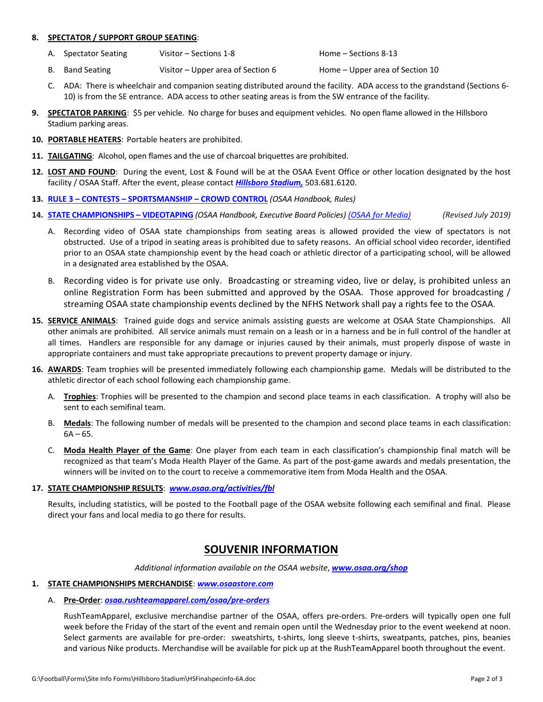#### **8. SPECTATOR / SUPPORT GROUP SEATING**:

- A. Spectator Seating Visitor Sections 1‐8 Home Sections 8‐13
- B. Band Seating  $Visitor Upper area of Section 6$  Home Upper area of Section 10
- C. ADA: There is wheelchair and companion seating distributed around the facility. ADA access to the grandstand (Sections 6‐ 10) is from the SE entrance. ADA access to other seating areas is from the SW entrance of the facility.
- **9. SPECTATOR PARKING**: \$5 per vehicle. No charge for buses and equipment vehicles. No open flame allowed in the Hillsboro Stadium parking areas.
- **10. PORTABLE HEATERS**: Portable heaters are prohibited.
- **11. TAILGATING**: Alcohol, open flames and the use of charcoal briquettes are prohibited.
- **12. LOST AND FOUND**: During the event, Lost & Found will be at the OSAA Event Office or other location designated by the host facility / OSAA Staff. After the event, please contact *[Hillsboro](https://www.hillsboro-oregon.gov/departments/parks-recreation/our-parks/park-rules) Stadium,* 503.681.6120.
- **13. RULE 3 – CONTESTS – [SPORTSMANSHIP](https://www.osaa.org/governance/handbooks/osaa#_Toc456100266) – CROWD CONTROL** *(OSAA Handbook, Rules)*
- 14. STATE [CHAMPIONSHIPS](https://www.osaa.org/governance/handbooks/osaa#_Toc456100461) VIDEOTAPING (OSAA Handbook, Executive Board Policies) (OSAA for [Media\)](https://www.osaa.org/media) (Revised July 2019)
	- A. Recording video of OSAA state championships from seating areas is allowed provided the view of spectators is not obstructed. Use of a tripod in seating areas is prohibited due to safety reasons. An official school video recorder, identified prior to an OSAA state championship event by the head coach or athletic director of a participating school, will be allowed in a designated area established by the OSAA.
	- B. Recording video is for private use only. Broadcasting or streaming video, live or delay, is prohibited unless an online Registration Form has been submitted and approved by the OSAA. Those approved for broadcasting / streaming OSAA state championship events declined by the NFHS Network shall pay a rights fee to the OSAA.
- **15. SERVICE ANIMALS**: Trained guide dogs and service animals assisting guests are welcome at OSAA State Championships. All other animals are prohibited. All service animals must remain on a leash or in a harness and be in full control of the handler at all times. Handlers are responsible for any damage or injuries caused by their animals, must properly dispose of waste in appropriate containers and must take appropriate precautions to prevent property damage or injury.
- **16. AWARDS**: Team trophies will be presented immediately following each championship game. Medals will be distributed to the athletic director of each school following each championship game.
	- A. **Trophies**: Trophies will be presented to the champion and second place teams in each classification. A trophy will also be sent to each semifinal team.
	- B. **Medals**: The following number of medals will be presented to the champion and second place teams in each classification:  $6A - 65.$
	- C. **Moda Health Player of the Game**: One player from each team in each classification's championship final match will be recognized as that team's Moda Health Player of the Game. As part of the post‐game awards and medals presentation, the winners will be invited on to the court to receive a commemorative item from Moda Health and the OSAA.

#### **17. STATE CHAMPIONSHIP RESULTS**: *[www.osaa.org/activities/fbl](https://www.osaa.org/activities/fbl/)*

Results, including statistics, will be posted to the Football page of the OSAA website following each semifinal and final. Please direct your fans and local media to go there for results.

# **SOUVENIR INFORMATION**

*Additional information available on the OSAA website*, *[www.osaa.org/shop](https://www.osaa.org/shop)*

#### **1. STATE CHAMPIONSHIPS MERCHANDISE**: *[www.osaastore.com](https://osaastore.com)*

#### A. **Pre‐Order**: *[osaa.rushteamapparel.com/osaa/pre](https://osaa.rushteamapparel.com/osaa/pre-orders)‐orders*

RushTeamApparel, exclusive merchandise partner of the OSAA, offers pre‐orders. Pre‐orders will typically open one full week before the Friday of the start of the event and remain open until the Wednesday prior to the event weekend at noon. Select garments are available for pre-order: sweatshirts, t-shirts, long sleeve t-shirts, sweatpants, patches, pins, beanies and various Nike products. Merchandise will be available for pick up at the RushTeamApparel booth throughout the event.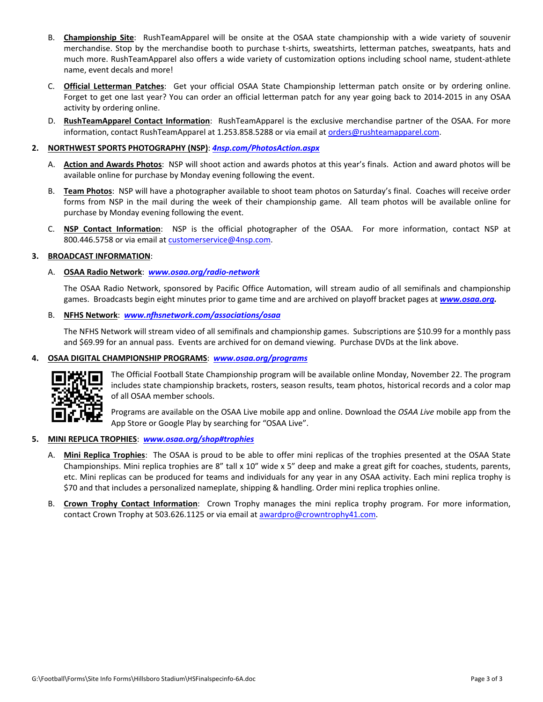- B. **Championship Site**: RushTeamApparel will be onsite at the OSAA state championship with a wide variety of souvenir merchandise. Stop by the merchandise booth to purchase t-shirts, sweatshirts, letterman patches, sweatpants, hats and much more. RushTeamApparel also offers a wide variety of customization options including school name, student‐athlete name, event decals and more!
- C. **Official Letterman Patches**: Get your official OSAA State Championship letterman patch onsite or by ordering online. Forget to get one last year? You can order an official letterman patch for any year going back to 2014‐2015 in any OSAA activity by ordering online.
- D. **RushTeamApparel Contact Information**: RushTeamApparel is the exclusive merchandise partner of the OSAA. For more information, contact RushTeamApparel at 1.253.858.5288 or via email at orders@rushteamapparel.com.

## **2. NORTHWEST SPORTS PHOTOGRAPHY (NSP)**: *[4nsp.com/PhotosAction.aspx](https://www.4nsp.com/PhotosAction.aspx)*

- A. **Action and Awards Photos**: NSP will shoot action and awards photos at this year's finals. Action and award photos will be available online for purchase by Monday evening following the event.
- B. **Team Photos**: NSP will have a photographer available to shoot team photos on Saturday's final. Coaches will receive order forms from NSP in the mail during the week of their championship game. All team photos will be available online for purchase by Monday evening following the event.
- C. **NSP Contact Information**: NSP is the official photographer of the OSAA. For more information, contact NSP at 800.446.5758 or via email at customerservice@4nsp.com.

## **3. BROADCAST INFORMATION**:

## A. **OSAA Radio Network**: *[www.osaa.org/radio](https://www.osaa.org/radio-network)‐network*

The OSAA Radio Network, sponsored by Pacific Office Automation, will stream audio of all semifinals and championship games. Broadcasts begin eight minutes prior to game time and are archived on playoff bracket pages at *[www.osaa.org.](https://www.osaa.org)*

B. **NFHS Network**: *[www.nfhsnetwork.com/associations/osaa](https://www.nfhsnetwork.com/associations/osaa)*

The NFHS Network will stream video of all semifinals and championship games. Subscriptions are \$10.99 for a monthly pass and \$69.99 for an annual pass. Events are archived for on demand viewing. Purchase DVDs at the link above.

## **4. OSAA DIGITAL CHAMPIONSHIP PROGRAMS**: *[www.osaa.org/programs](https://www.osaa.org/programs)*



The Official Football State Championship program will be available online Monday, November 22. The program includes state championship brackets, rosters, season results, team photos, historical records and a color map of all OSAA member schools.

Programs are available on the OSAA Live mobile app and online. Download the *OSAA Live* mobile app from the App Store or Google Play by searching for "OSAA Live".

- **5. MINI REPLICA TROPHIES**: *[www.osaa.org/shop#trophies](https://www.osaa.org/shop#trophies)*
	- A. **Mini Replica Trophies**:The OSAA is proud to be able to offer mini replicas of the trophies presented at the OSAA State Championships. Mini replica trophies are 8" tall x 10" wide x 5" deep and make a great gift for coaches, students, parents, etc. Mini replicas can be produced for teams and individuals for any year in any OSAA activity. Each mini replica trophy is \$70 and that includes a personalized nameplate, shipping & handling. Order mini replica trophies online.
	- B. **Crown Trophy Contact Information**: Crown Trophy manages the mini replica trophy program. For more information, contact Crown Trophy at 503.626.1125 or via email at awardpro@crowntrophy41.com.